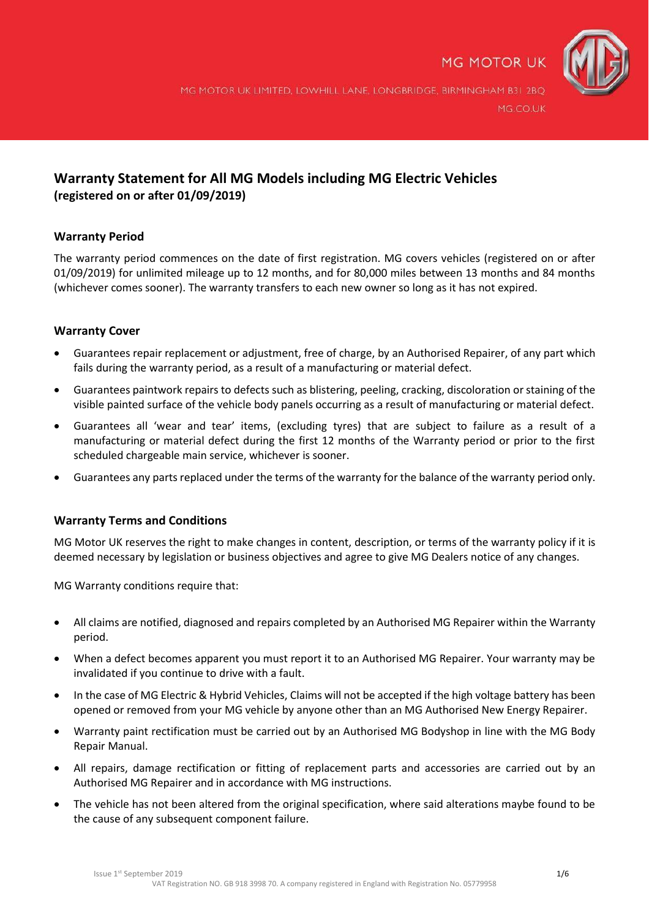

MG MOTOR UK LIMITED, LOWHILL LANE, LONGBRIDGE, BIRMINGHAM B31 2BQ MG.CO.UK

## **Warranty Statement for All MG Models including MG Electric Vehicles (registered on or after 01/09/2019)**

## **Warranty Period**

The warranty period commences on the date of first registration. MG covers vehicles (registered on or after 01/09/2019) for unlimited mileage up to 12 months, and for 80,000 miles between 13 months and 84 months (whichever comes sooner). The warranty transfers to each new owner so long as it has not expired.

## **Warranty Cover**

- Guarantees repair replacement or adjustment, free of charge, by an Authorised Repairer, of any part which fails during the warranty period, as a result of a manufacturing or material defect.
- Guarantees paintwork repairs to defects such as blistering, peeling, cracking, discoloration or staining of the visible painted surface of the vehicle body panels occurring as a result of manufacturing or material defect.
- Guarantees all 'wear and tear' items, (excluding tyres) that are subject to failure as a result of a manufacturing or material defect during the first 12 months of the Warranty period or prior to the first scheduled chargeable main service, whichever is sooner.
- Guarantees any parts replaced under the terms of the warranty for the balance of the warranty period only.

## **Warranty Terms and Conditions**

MG Motor UK reserves the right to make changes in content, description, or terms of the warranty policy if it is deemed necessary by legislation or business objectives and agree to give MG Dealers notice of any changes.

MG Warranty conditions require that:

- All claims are notified, diagnosed and repairs completed by an Authorised MG Repairer within the Warranty period.
- When a defect becomes apparent you must report it to an Authorised MG Repairer. Your warranty may be invalidated if you continue to drive with a fault.
- In the case of MG Electric & Hybrid Vehicles, Claims will not be accepted if the high voltage battery has been opened or removed from your MG vehicle by anyone other than an MG Authorised New Energy Repairer.
- Warranty paint rectification must be carried out by an Authorised MG Bodyshop in line with the MG Body Repair Manual.
- All repairs, damage rectification or fitting of replacement parts and accessories are carried out by an Authorised MG Repairer and in accordance with MG instructions.
- The vehicle has not been altered from the original specification, where said alterations maybe found to be the cause of any subsequent component failure.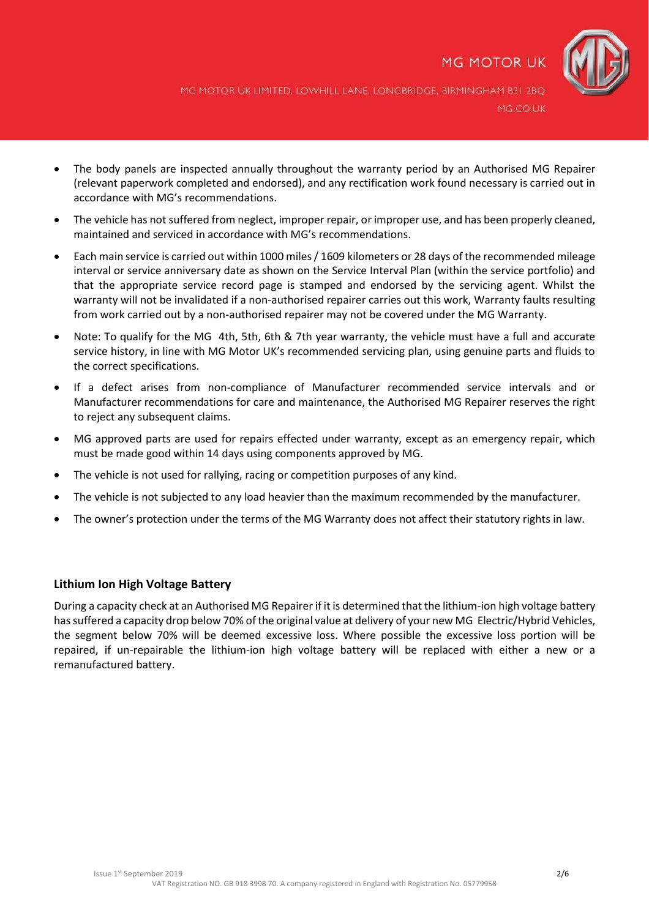

MG MOTOR UK LIMITED, LOWHILL LANE, LONGBRIDGE, BIRMINGHAM B31 2BQ MG.CO.UK

- The body panels are inspected annually throughout the warranty period by an Authorised MG Repairer (relevant paperwork completed and endorsed), and any rectification work found necessary is carried out in accordance with MG's recommendations.
- The vehicle has not suffered from neglect, improper repair, or improper use, and has been properly cleaned, maintained and serviced in accordance with MG's recommendations.
- Each main service is carried out within 1000 miles / 1609 kilometers or 28 days of the recommended mileage interval or service anniversary date as shown on the Service Interval Plan (within the service portfolio) and that the appropriate service record page is stamped and endorsed by the servicing agent. Whilst the warranty will not be invalidated if a non-authorised repairer carries out this work, Warranty faults resulting from work carried out by a non-authorised repairer may not be covered under the MG Warranty.
- Note: To qualify for the MG 4th, 5th, 6th & 7th year warranty, the vehicle must have a full and accurate service history, in line with MG Motor UK's recommended servicing plan, using genuine parts and fluids to the correct specifications.
- If a defect arises from non-compliance of Manufacturer recommended service intervals and or Manufacturer recommendations for care and maintenance, the Authorised MG Repairer reserves the right to reject any subsequent claims.
- MG approved parts are used for repairs effected under warranty, except as an emergency repair, which must be made good within 14 days using components approved by MG.
- The vehicle is not used for rallying, racing or competition purposes of any kind.
- The vehicle is not subjected to any load heavier than the maximum recommended by the manufacturer.
- The owner's protection under the terms of the MG Warranty does not affect their statutory rights in law.

## **Lithium Ion High Voltage Battery**

During a capacity check at an Authorised MG Repairer if it is determined that the lithium-ion high voltage battery has suffered a capacity drop below 70% of the original value at delivery of your new MG Electric/Hybrid Vehicles, the segment below 70% will be deemed excessive loss. Where possible the excessive loss portion will be repaired, if un-repairable the lithium-ion high voltage battery will be replaced with either a new or a remanufactured battery.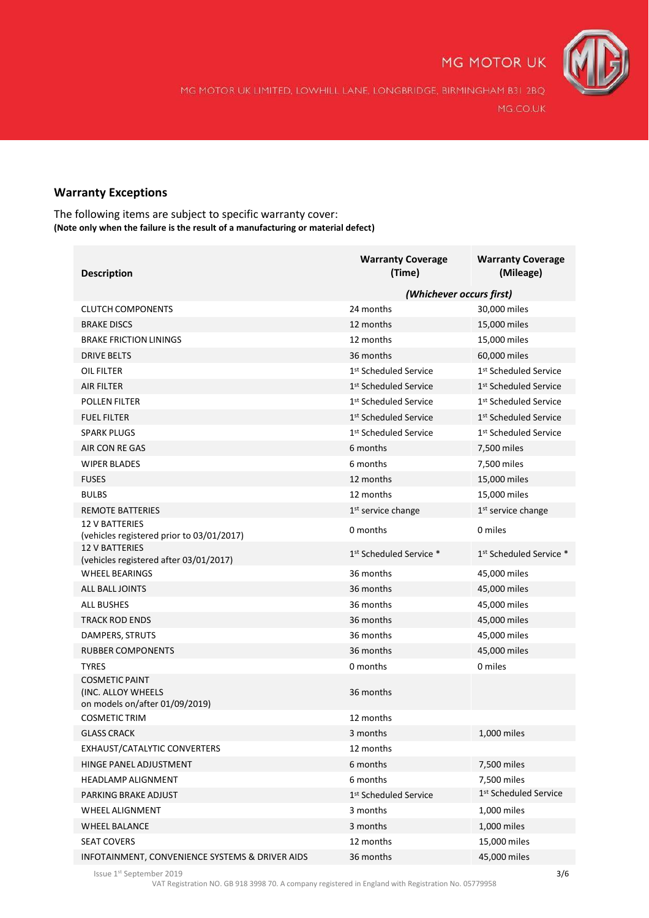

MG MOTOR UK LIMITED, LOWHILL LANE, LONGBRIDGE, BIRMINGHAM B31 2BQ MG.CO.UK

## **Warranty Exceptions**

The following items are subject to specific warranty cover: **(Note only when the failure is the result of a manufacturing or material defect)**

| <b>Description</b>                                                            | <b>Warranty Coverage</b><br>(Time)  | <b>Warranty Coverage</b><br>(Mileage) |
|-------------------------------------------------------------------------------|-------------------------------------|---------------------------------------|
|                                                                               | (Whichever occurs first)            |                                       |
| <b>CLUTCH COMPONENTS</b>                                                      | 24 months                           | 30,000 miles                          |
| <b>BRAKE DISCS</b>                                                            | 12 months                           | 15,000 miles                          |
| <b>BRAKE FRICTION LININGS</b>                                                 | 12 months                           | 15,000 miles                          |
| <b>DRIVE BELTS</b>                                                            | 36 months                           | 60,000 miles                          |
| OIL FILTER                                                                    | 1 <sup>st</sup> Scheduled Service   | 1 <sup>st</sup> Scheduled Service     |
| <b>AIR FILTER</b>                                                             | 1 <sup>st</sup> Scheduled Service   | 1 <sup>st</sup> Scheduled Service     |
| <b>POLLEN FILTER</b>                                                          | 1 <sup>st</sup> Scheduled Service   | 1 <sup>st</sup> Scheduled Service     |
| <b>FUEL FILTER</b>                                                            | 1 <sup>st</sup> Scheduled Service   | 1 <sup>st</sup> Scheduled Service     |
| <b>SPARK PLUGS</b>                                                            | 1 <sup>st</sup> Scheduled Service   | 1 <sup>st</sup> Scheduled Service     |
| AIR CON RE GAS                                                                | 6 months                            | 7,500 miles                           |
| <b>WIPER BLADES</b>                                                           | 6 months                            | 7,500 miles                           |
| <b>FUSES</b>                                                                  | 12 months                           | 15,000 miles                          |
| <b>BULBS</b>                                                                  | 12 months                           | 15,000 miles                          |
| <b>REMOTE BATTERIES</b>                                                       | $1st$ service change                | 1 <sup>st</sup> service change        |
| <b>12 V BATTERIES</b><br>(vehicles registered prior to 03/01/2017)            | 0 months                            | 0 miles                               |
| <b>12 V BATTERIES</b><br>(vehicles registered after 03/01/2017)               | 1 <sup>st</sup> Scheduled Service * | 1 <sup>st</sup> Scheduled Service *   |
| <b>WHEEL BEARINGS</b>                                                         | 36 months                           | 45,000 miles                          |
| <b>ALL BALL JOINTS</b>                                                        | 36 months                           | 45,000 miles                          |
| <b>ALL BUSHES</b>                                                             | 36 months                           | 45,000 miles                          |
| <b>TRACK ROD ENDS</b>                                                         | 36 months                           | 45,000 miles                          |
| DAMPERS, STRUTS                                                               | 36 months                           | 45,000 miles                          |
| <b>RUBBER COMPONENTS</b>                                                      | 36 months                           | 45,000 miles                          |
| <b>TYRES</b>                                                                  | 0 months                            | 0 miles                               |
| <b>COSMETIC PAINT</b><br>(INC. ALLOY WHEELS<br>on models on/after 01/09/2019) | 36 months                           |                                       |
| <b>COSMETIC TRIM</b>                                                          | 12 months                           |                                       |
| <b>GLASS CRACK</b>                                                            | 3 months                            | 1,000 miles                           |
| EXHAUST/CATALYTIC CONVERTERS                                                  | 12 months                           |                                       |
| HINGE PANEL ADJUSTMENT                                                        | 6 months                            | 7,500 miles                           |
| <b>HEADLAMP ALIGNMENT</b>                                                     | 6 months                            | 7,500 miles                           |
| PARKING BRAKE ADJUST                                                          | 1 <sup>st</sup> Scheduled Service   | 1st Scheduled Service                 |
| <b>WHEEL ALIGNMENT</b>                                                        | 3 months                            | 1,000 miles                           |
| <b>WHEEL BALANCE</b>                                                          | 3 months                            | 1,000 miles                           |
| <b>SEAT COVERS</b>                                                            | 12 months                           | 15,000 miles                          |
| INFOTAINMENT, CONVENIENCE SYSTEMS & DRIVER AIDS                               | 36 months                           | 45,000 miles                          |

lssue 1 $^{\text{st}}$  September 2019  $\hspace{1.5cm}$  3/6  $\hspace{1.5cm}$  3/6  $\hspace{1.5cm}$  3/6  $\hspace{1.5cm}$  3/6  $\hspace{1.5cm}$  3/6  $\hspace{1.5cm}$  3/6  $\hspace{1.5cm}$  3/6  $\hspace{1.5cm}$  3/6  $\hspace{1.5cm}$  3/6  $\hspace{1.5cm}$  3/6  $\hspace{1.5cm}$  3/6  $\hspace{1.5cm}$  3/

VAT Registration NO. GB 918 3998 70. A company registered in England with Registration No. 05779958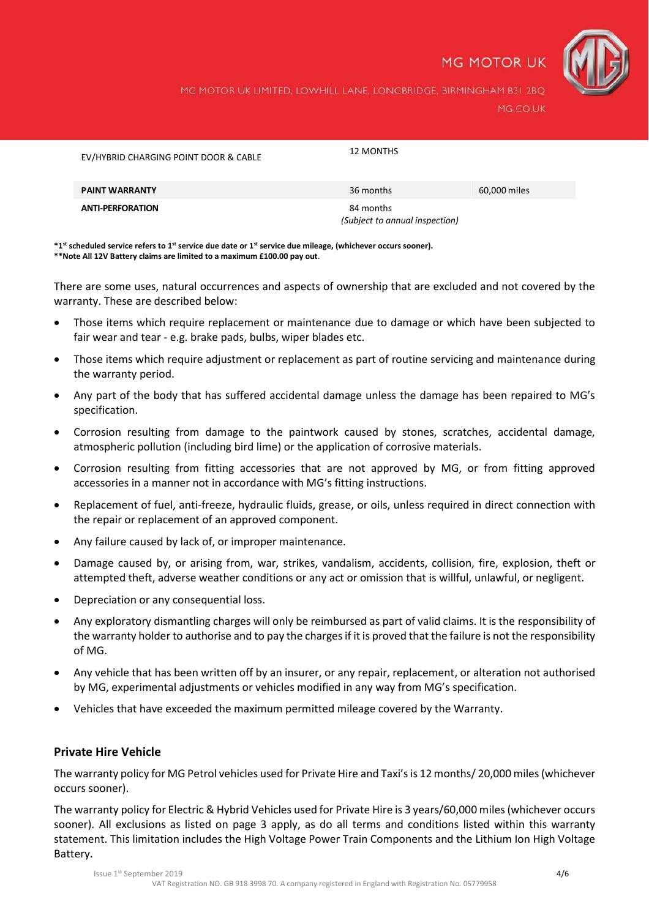

MG MOTOR UK LIMITED, LOWHILL LANE, LONGBRIDGE, BIRMINGHAM B31 2BQ MG.CO.UK

| EV/HYBRID CHARGING POINT DOOR & CABLE | 12 MONTHS                                   |              |
|---------------------------------------|---------------------------------------------|--------------|
| <b>PAINT WARRANTY</b>                 | 36 months                                   | 60,000 miles |
| <b>ANTI-PERFORATION</b>               | 84 months<br>(Subject to annual inspection) |              |

**\*1st scheduled service refers to 1st service due date or 1st service due mileage, (whichever occurs sooner). \*\*Note All 12V Battery claims are limited to a maximum £100.00 pay out**.

There are some uses, natural occurrences and aspects of ownership that are excluded and not covered by the warranty. These are described below:

- Those items which require replacement or maintenance due to damage or which have been subjected to fair wear and tear - e.g. brake pads, bulbs, wiper blades etc.
- Those items which require adjustment or replacement as part of routine servicing and maintenance during the warranty period.
- Any part of the body that has suffered accidental damage unless the damage has been repaired to MG's specification.
- Corrosion resulting from damage to the paintwork caused by stones, scratches, accidental damage, atmospheric pollution (including bird lime) or the application of corrosive materials.
- Corrosion resulting from fitting accessories that are not approved by MG, or from fitting approved accessories in a manner not in accordance with MG's fitting instructions.
- Replacement of fuel, anti-freeze, hydraulic fluids, grease, or oils, unless required in direct connection with the repair or replacement of an approved component.
- Any failure caused by lack of, or improper maintenance.
- Damage caused by, or arising from, war, strikes, vandalism, accidents, collision, fire, explosion, theft or attempted theft, adverse weather conditions or any act or omission that is willful, unlawful, or negligent.
- Depreciation or any consequential loss.
- Any exploratory dismantling charges will only be reimbursed as part of valid claims. It is the responsibility of the warranty holder to authorise and to pay the charges if it is proved that the failure is not the responsibility of MG.
- Any vehicle that has been written off by an insurer, or any repair, replacement, or alteration not authorised by MG, experimental adjustments or vehicles modified in any way from MG's specification.
- Vehicles that have exceeded the maximum permitted mileage covered by the Warranty.

## **Private Hire Vehicle**

The warranty policy for MG Petrol vehicles used for Private Hire and Taxi's is 12 months/ 20,000 miles (whichever occurs sooner).

The warranty policy for Electric & Hybrid Vehicles used for Private Hire is 3 years/60,000 miles (whichever occurs sooner). All exclusions as listed on page 3 apply, as do all terms and conditions listed within this warranty statement. This limitation includes the High Voltage Power Train Components and the Lithium Ion High Voltage Battery.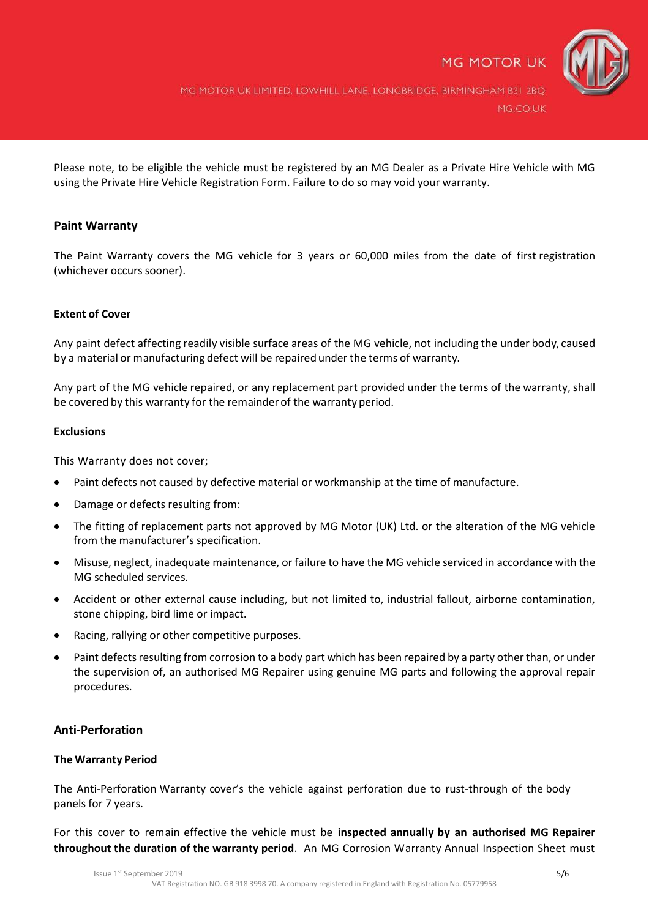

MG MOTOR UK LIMITED, LOWHILL LANE, LONGBRIDGE, BIRMINGHAM B31 2BQ MG.CO.UK

Please note, to be eligible the vehicle must be registered by an MG Dealer as a Private Hire Vehicle with MG using the Private Hire Vehicle Registration Form. Failure to do so may void your warranty.

## **Paint Warranty**

The Paint Warranty covers the MG vehicle for 3 years or 60,000 miles from the date of first registration (whichever occurs sooner).

## **Extent of Cover**

Any paint defect affecting readily visible surface areas of the MG vehicle, not including the under body, caused by a material or manufacturing defect will be repaired under the terms of warranty.

Any part of the MG vehicle repaired, or any replacement part provided under the terms of the warranty, shall be covered by this warranty for the remainder of the warranty period.

#### **Exclusions**

This Warranty does not cover;

- Paint defects not caused by defective material or workmanship at the time of manufacture.
- Damage or defects resulting from:
- The fitting of replacement parts not approved by MG Motor (UK) Ltd. or the alteration of the MG vehicle from the manufacturer's specification.
- Misuse, neglect, inadequate maintenance, or failure to have the MG vehicle serviced in accordance with the MG scheduled services.
- Accident or other external cause including, but not limited to, industrial fallout, airborne contamination, stone chipping, bird lime or impact.
- Racing, rallying or other competitive purposes.
- Paint defects resulting from corrosion to a body part which has been repaired by a party other than, or under the supervision of, an authorised MG Repairer using genuine MG parts and following the approval repair procedures.

#### **Anti-Perforation**

#### **The Warranty Period**

The Anti-Perforation Warranty cover's the vehicle against perforation due to rust-through of the body panels for 7 years.

For this cover to remain effective the vehicle must be **inspected annually by an authorised MG Repairer throughout the duration of the warranty period**. An MG Corrosion Warranty Annual Inspection Sheet must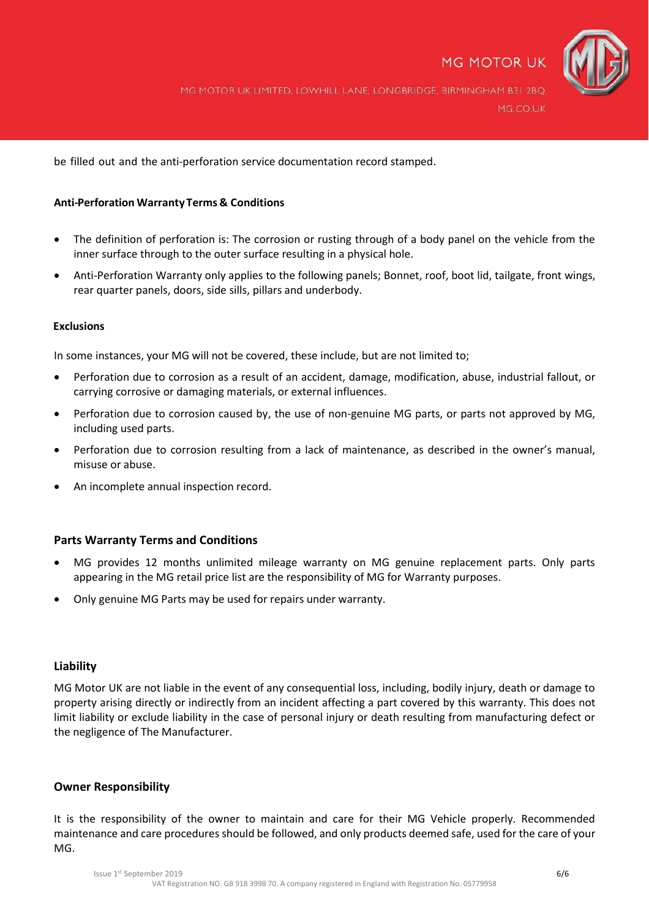

MG MOTOR UK LIMITED, LOWHILL LANE, LONGBRIDGE, BIRMINGHAM B31 2BQ MG.CO.UK

be filled out and the anti-perforation service documentation record stamped.

## **Anti-Perforation WarrantyTerms & Conditions**

- The definition of perforation is: The corrosion or rusting through of a body panel on the vehicle from the inner surface through to the outer surface resulting in a physical hole.
- Anti-Perforation Warranty only applies to the following panels; Bonnet, roof, boot lid, tailgate, front wings, rear quarter panels, doors, side sills, pillars and underbody.

#### **Exclusions**

In some instances, your MG will not be covered, these include, but are not limited to;

- Perforation due to corrosion as a result of an accident, damage, modification, abuse, industrial fallout, or carrying corrosive or damaging materials, or external influences.
- Perforation due to corrosion caused by, the use of non-genuine MG parts, or parts not approved by MG, including used parts.
- Perforation due to corrosion resulting from a lack of maintenance, as described in the owner's manual, misuse or abuse.
- An incomplete annual inspection record.

## **Parts Warranty Terms and Conditions**

- MG provides 12 months unlimited mileage warranty on MG genuine replacement parts. Only parts appearing in the MG retail price list are the responsibility of MG for Warranty purposes.
- Only genuine MG Parts may be used for repairs under warranty.

## **Liability**

MG Motor UK are not liable in the event of any consequential loss, including, bodily injury, death or damage to property arising directly or indirectly from an incident affecting a part covered by this warranty. This does not limit liability or exclude liability in the case of personal injury or death resulting from manufacturing defect or the negligence of The Manufacturer.

## **Owner Responsibility**

It is the responsibility of the owner to maintain and care for their MG Vehicle properly. Recommended maintenance and care procedures should be followed, and only products deemed safe, used for the care of your MG.